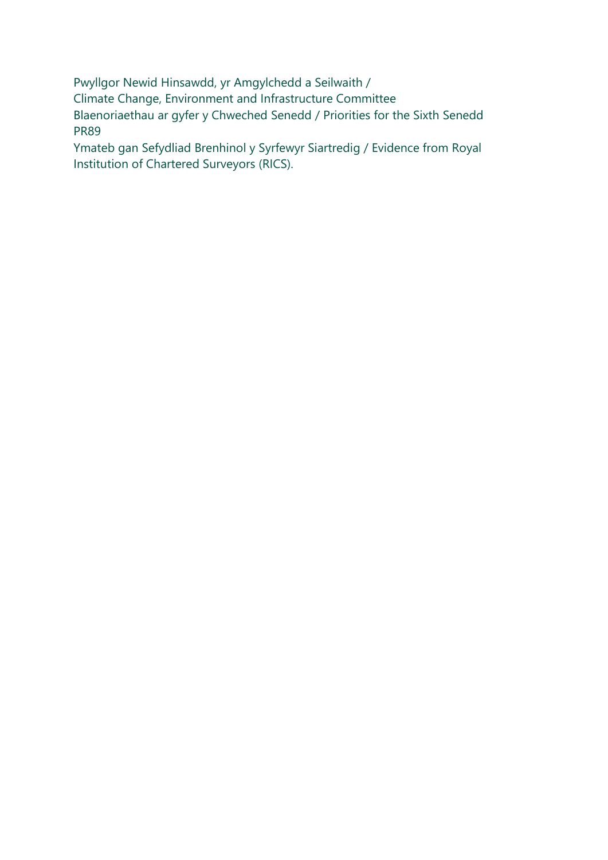Pwyllgor Newid Hinsawdd, yr Amgylchedd a Seilwaith / Climate Change, Environment and Infrastructure Committee Blaenoriaethau ar gyfer y Chweched Senedd / Priorities for the Sixth Senedd PR89

Ymateb gan Sefydliad Brenhinol y Syrfewyr Siartredig / Evidence from Royal Institution of Chartered Surveyors (RICS).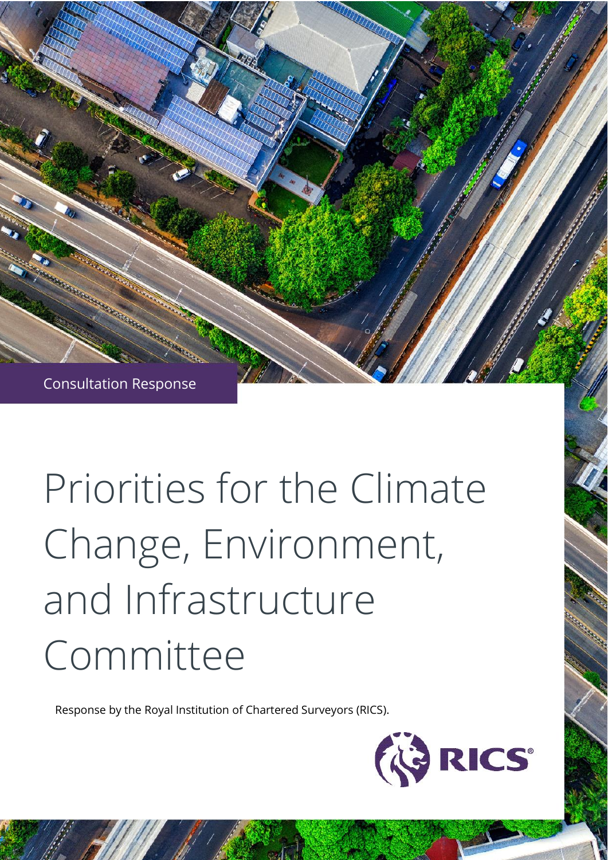

# Priorities for the Climate Change, Environment, and Infrastructure Committee

Response by the Royal Institution of Chartered Surveyors (RICS).

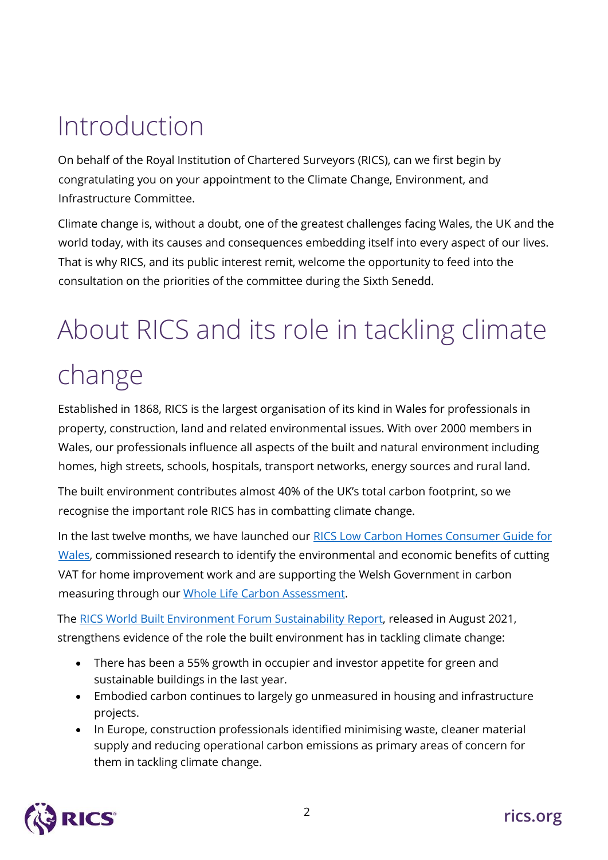### Introduction

On behalf of the Royal Institution of Chartered Surveyors (RICS), can we first begin by congratulating you on your appointment to the Climate Change, Environment, and Infrastructure Committee.

Climate change is, without a doubt, one of the greatest challenges facing Wales, the UK and the world today, with its causes and consequences embedding itself into every aspect of our lives. That is why RICS, and its public interest remit, welcome the opportunity to feed into the consultation on the priorities of the committee during the Sixth Senedd.

## About RICS and its role in tackling climate change

Established in 1868, RICS is the largest organisation of its kind in Wales for professionals in property, construction, land and related environmental issues. With over 2000 members in Wales, our professionals influence all aspects of the built and natural environment including homes, high streets, schools, hospitals, transport networks, energy sources and rural land.

The built environment contributes almost 40% of the UK's total carbon footprint, so we recognise the important role RICS has in combatting climate change.

In the last twelve months, we have launched our [RICS Low Carbon Homes Consumer Guide for](https://www.ricsfirms.com/media/1277/rics-low-carbon-home-consumer-guide-wales.pdf)  [Wales,](https://www.ricsfirms.com/media/1277/rics-low-carbon-home-consumer-guide-wales.pdf) commissioned research to identify the environmental and economic benefits of cutting VAT for home improvement work and are supporting the Welsh Government in carbon measuring through our [Whole Life Carbon Assessment.](https://www.rics.org/uk/upholding-professional-standards/sector-standards/building-surveying/whole-life-carbon-assessment-for-the-built-environment/)

The [RICS World Built Environment Forum Sustainability Report,](https://www.rics.org/globalassets/wbef-website/reports-and-research/q2-2021-rics-sustainability-report.pdf) released in August 2021, strengthens evidence of the role the built environment has in tackling climate change:

- There has been a 55% growth in occupier and investor appetite for green and sustainable buildings in the last year.
- Embodied carbon continues to largely go unmeasured in housing and infrastructure projects.
- In Europe, construction professionals identified minimising waste, cleaner material supply and reducing operational carbon emissions as primary areas of concern for them in tackling climate change.

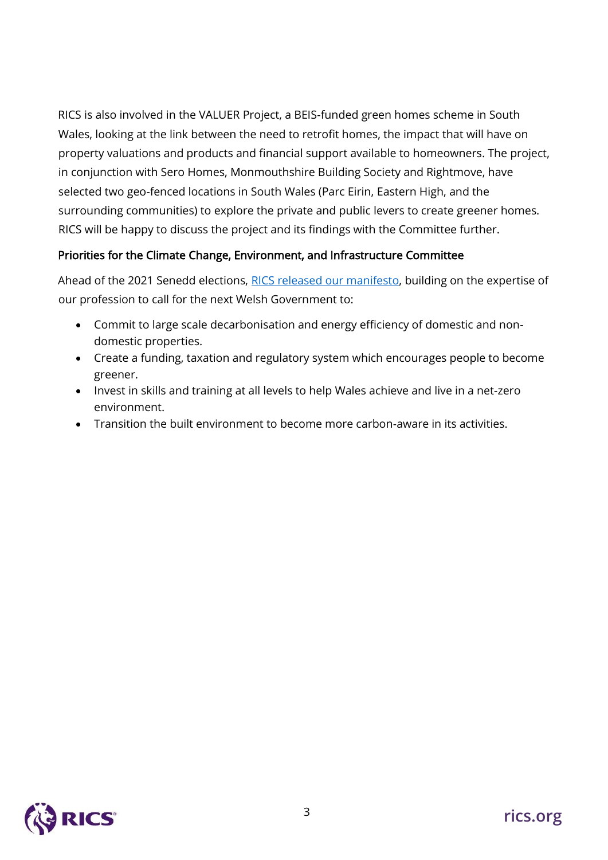RICS is also involved in the VALUER Project, a BEIS-funded green homes scheme in South Wales, looking at the link between the need to retrofit homes, the impact that will have on property valuations and products and financial support available to homeowners. The project, in conjunction with Sero Homes, Monmouthshire Building Society and Rightmove, have selected two geo-fenced locations in South Wales (Parc Eirin, Eastern High, and the surrounding communities) to explore the private and public levers to create greener homes. RICS will be happy to discuss the project and its findings with the Committee further.

#### Priorities for the Climate Change, Environment, and Infrastructure Committee

Ahead of the 2021 Senedd elections, [RICS released our manifesto,](https://www.rics.org/uk/news-insight/latest-news/news-opinion/what-should-the-next-government-do-to-improve-lives-in-welsh-communities/) building on the expertise of our profession to call for the next Welsh Government to:

- Commit to large scale decarbonisation and energy efficiency of domestic and nondomestic properties.
- Create a funding, taxation and regulatory system which encourages people to become greener.
- Invest in skills and training at all levels to help Wales achieve and live in a net-zero environment.
- Transition the built environment to become more carbon-aware in its activities.

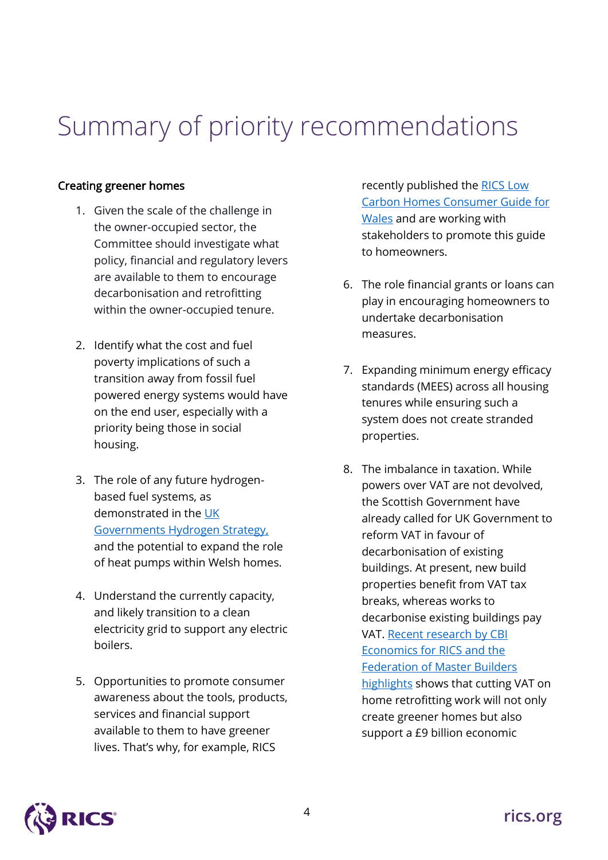### Summary of priority recommendations

#### Creating greener homes

- 1. Given the scale of the challenge in the owner-occupied sector, the Committee should investigate what policy, financial and regulatory levers are available to them to encourage decarbonisation and retrofitting within the owner-occupied tenure.
- 2. Identify what the cost and fuel poverty implications of such a transition away from fossil fuel powered energy systems would have on the end user, especially with a priority being those in social housing.
- 3. The role of any future hydrogenbased fuel systems, as demonstrated in the [UK](https://www.gov.uk/government/publications/uk-hydrogen-strategy)  [Governments Hydrogen Strategy,](https://www.gov.uk/government/publications/uk-hydrogen-strategy) and the potential to expand the role of heat pumps within Welsh homes.
- 4. Understand the currently capacity, and likely transition to a clean electricity grid to support any electric boilers.
- 5. Opportunities to promote consumer awareness about the tools, products, services and financial support available to them to have greener lives. That's why, for example, RICS

recently published the [RICS Low](https://www.ricsfirms.com/media/1277/rics-low-carbon-home-consumer-guide-wales.pdf)  [Carbon Homes Consumer Guide for](https://www.ricsfirms.com/media/1277/rics-low-carbon-home-consumer-guide-wales.pdf)  [Wales](https://www.ricsfirms.com/media/1277/rics-low-carbon-home-consumer-guide-wales.pdf) and are working with stakeholders to promote this guide to homeowners.

- 6. The role financial grants or loans can play in encouraging homeowners to undertake decarbonisation measures.
- 7. Expanding minimum energy efficacy standards (MEES) across all housing tenures while ensuring such a system does not create stranded properties.
- 8. The imbalance in taxation. While powers over VAT are not devolved, the Scottish Government have already called for UK Government to reform VAT in favour of decarbonisation of existing buildings. At present, new build properties benefit from VAT tax breaks, whereas works to decarbonise existing buildings pay VAT. [Recent research by CBI](https://www.rics.org/uk/news-insight/latest-news/news-opinion/cut-vat-to-stimulate-economic-growth-and-create-greener-homes/)  [Economics for RICS and the](https://www.rics.org/uk/news-insight/latest-news/news-opinion/cut-vat-to-stimulate-economic-growth-and-create-greener-homes/)  [Federation of Master Builders](https://www.rics.org/uk/news-insight/latest-news/news-opinion/cut-vat-to-stimulate-economic-growth-and-create-greener-homes/)  [highlights](https://www.rics.org/uk/news-insight/latest-news/news-opinion/cut-vat-to-stimulate-economic-growth-and-create-greener-homes/) shows that cutting VAT on home retrofitting work will not only create greener homes but also support a £9 billion economic

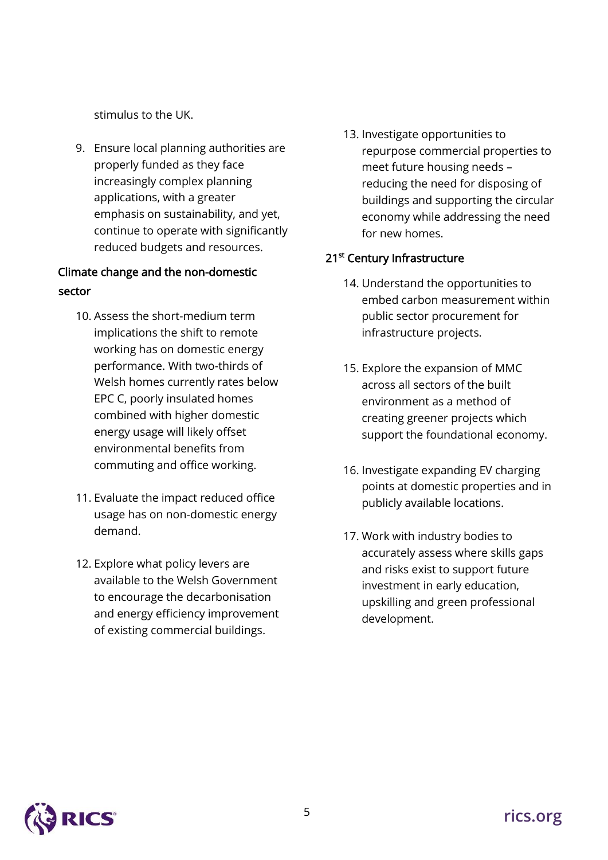stimulus to the UK.

9. Ensure local planning authorities are properly funded as they face increasingly complex planning applications, with a greater emphasis on sustainability, and yet, continue to operate with significantly reduced budgets and resources.

#### Climate change and the non-domestic sector

- 10. Assess the short-medium term implications the shift to remote working has on domestic energy performance. With two-thirds of Welsh homes currently rates below EPC C, poorly insulated homes combined with higher domestic energy usage will likely offset environmental benefits from commuting and office working.
- 11. Evaluate the impact reduced office usage has on non-domestic energy demand.
- 12. Explore what policy levers are available to the Welsh Government to encourage the decarbonisation and energy efficiency improvement of existing commercial buildings.

13. Investigate opportunities to repurpose commercial properties to meet future housing needs – reducing the need for disposing of buildings and supporting the circular economy while addressing the need for new homes.

#### 21<sup>st</sup> Century Infrastructure

- 14. Understand the opportunities to embed carbon measurement within public sector procurement for infrastructure projects.
- 15. Explore the expansion of MMC across all sectors of the built environment as a method of creating greener projects which support the foundational economy.
- 16. Investigate expanding EV charging points at domestic properties and in publicly available locations.
- 17. Work with industry bodies to accurately assess where skills gaps and risks exist to support future investment in early education, upskilling and green professional development.

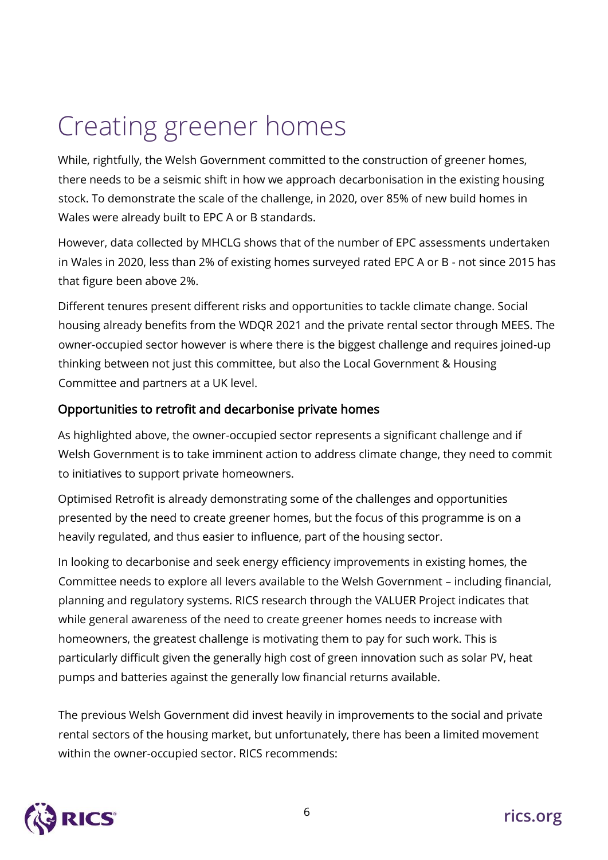### Creating greener homes

While, rightfully, the Welsh Government committed to the construction of greener homes, there needs to be a seismic shift in how we approach decarbonisation in the existing housing stock. To demonstrate the scale of the challenge, in 2020, over 85% of new build homes in Wales were already built to EPC A or B standards.

However, data collected by MHCLG shows that of the number of EPC assessments undertaken in Wales in 2020, less than 2% of existing homes surveyed rated EPC A or B - not since 2015 has that figure been above 2%.

Different tenures present different risks and opportunities to tackle climate change. Social housing already benefits from the WDQR 2021 and the private rental sector through MEES. The owner-occupied sector however is where there is the biggest challenge and requires joined-up thinking between not just this committee, but also the Local Government & Housing Committee and partners at a UK level.

#### Opportunities to retrofit and decarbonise private homes

As highlighted above, the owner-occupied sector represents a significant challenge and if Welsh Government is to take imminent action to address climate change, they need to commit to initiatives to support private homeowners.

Optimised Retrofit is already demonstrating some of the challenges and opportunities presented by the need to create greener homes, but the focus of this programme is on a heavily regulated, and thus easier to influence, part of the housing sector.

In looking to decarbonise and seek energy efficiency improvements in existing homes, the Committee needs to explore all levers available to the Welsh Government – including financial, planning and regulatory systems. RICS research through the VALUER Project indicates that while general awareness of the need to create greener homes needs to increase with homeowners, the greatest challenge is motivating them to pay for such work. This is particularly difficult given the generally high cost of green innovation such as solar PV, heat pumps and batteries against the generally low financial returns available.

The previous Welsh Government did invest heavily in improvements to the social and private rental sectors of the housing market, but unfortunately, there has been a limited movement within the owner-occupied sector. RICS recommends:

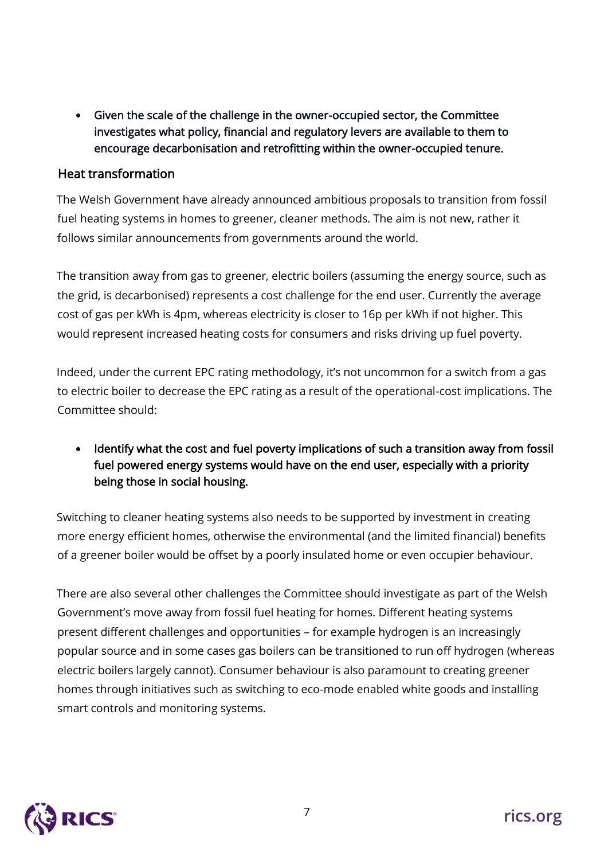• Given the scale of the challenge in the owner-occupied sector, the Committee investigates what policy, financial and regulatory levers are available to them to encourage decarbonisation and retrofitting within the owner-occupied tenure.

#### Heat transformation

The Welsh Government have already announced ambitious proposals to transition from fossil fuel heating systems in homes to greener, cleaner methods. The aim is not new, rather it follows similar announcements from governments around the world.

The transition away from gas to greener, electric boilers (assuming the energy source, such as the grid, is decarbonised) represents a cost challenge for the end user. Currently the average cost of gas per kWh is 4pm, whereas electricity is closer to 16p per kWh if not higher. This would represent increased heating costs for consumers and risks driving up fuel poverty.

Indeed, under the current EPC rating methodology, it's not uncommon for a switch from a gas to electric boiler to decrease the EPC rating as a result of the operational-cost implications. The Committee should:

• Identify what the cost and fuel poverty implications of such a transition away from fossil fuel powered energy systems would have on the end user, especially with a priority being those in social housing.

Switching to cleaner heating systems also needs to be supported by investment in creating more energy efficient homes, otherwise the environmental (and the limited financial) benefits of a greener boiler would be offset by a poorly insulated home or even occupier behaviour.

There are also several other challenges the Committee should investigate as part of the Welsh Government's move away from fossil fuel heating for homes. Different heating systems present different challenges and opportunities – for example hydrogen is an increasingly popular source and in some cases gas boilers can be transitioned to run off hydrogen (whereas electric boilers largely cannot). Consumer behaviour is also paramount to creating greener homes through initiatives such as switching to eco-mode enabled white goods and installing smart controls and monitoring systems.

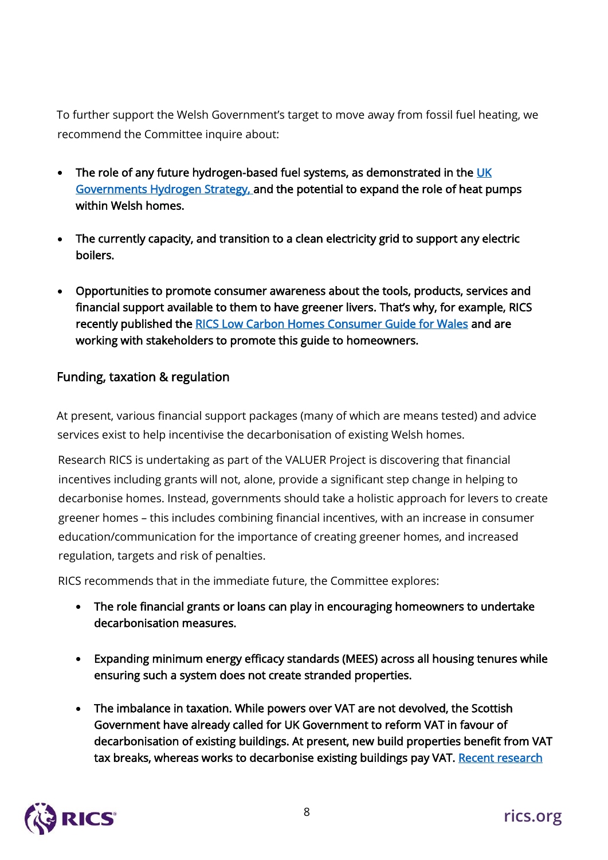To further support the Welsh Government's target to move away from fossil fuel heating, we recommend the Committee inquire about:

- The role of any future hydrogen-based fuel systems, as demonstrated in the UK [Governments Hydrogen Strategy,](https://www.gov.uk/government/publications/uk-hydrogen-strategy) and the potential to expand the role of heat pumps within Welsh homes.
- The currently capacity, and transition to a clean electricity grid to support any electric boilers.
- Opportunities to promote consumer awareness about the tools, products, services and financial support available to them to have greener livers. That's why, for example, RICS recently published the [RICS Low Carbon Homes Consumer Guide for Wales](https://www.ricsfirms.com/media/1277/rics-low-carbon-home-consumer-guide-wales.pdf) and are working with stakeholders to promote this guide to homeowners.

#### Funding, taxation & regulation

At present, various financial support packages (many of which are means tested) and advice services exist to help incentivise the decarbonisation of existing Welsh homes.

Research RICS is undertaking as part of the VALUER Project is discovering that financial incentives including grants will not, alone, provide a significant step change in helping to decarbonise homes. Instead, governments should take a holistic approach for levers to create greener homes – this includes combining financial incentives, with an increase in consumer education/communication for the importance of creating greener homes, and increased regulation, targets and risk of penalties.

RICS recommends that in the immediate future, the Committee explores:

- The role financial grants or loans can play in encouraging homeowners to undertake decarbonisation measures.
- Expanding minimum energy efficacy standards (MEES) across all housing tenures while ensuring such a system does not create stranded properties.
- The imbalance in taxation. While powers over VAT are not devolved, the Scottish Government have already called for UK Government to reform VAT in favour of decarbonisation of existing buildings. At present, new build properties benefit from VAT tax breaks, whereas works to decarbonise existing buildings pay VAT. Recent research

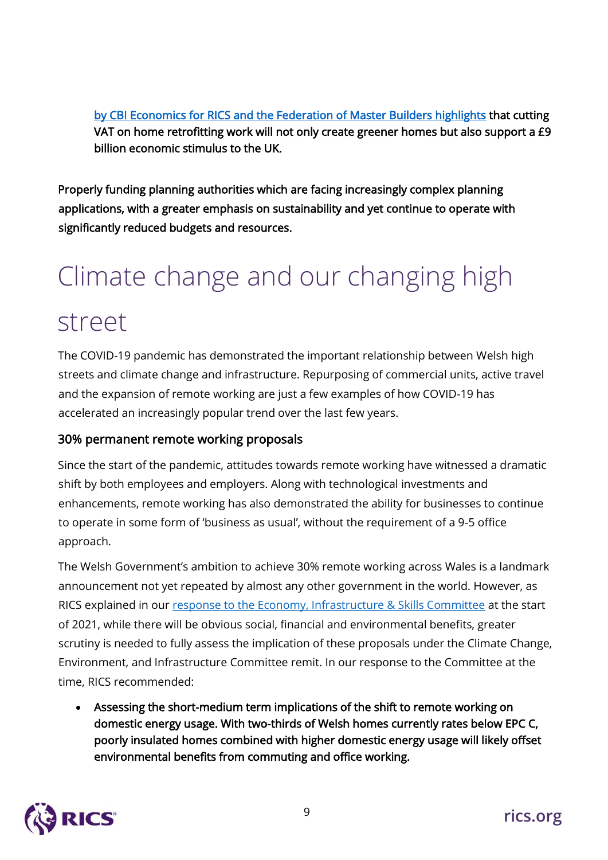[by CBI Economics for RICS and the Federation of Master Builders highlights](https://www.rics.org/uk/news-insight/latest-news/news-opinion/cut-vat-to-stimulate-economic-growth-and-create-greener-homes/) that cutting VAT on home retrofitting work will not only create greener homes but also support a £9 billion economic stimulus to the UK.

Properly funding planning authorities which are facing increasingly complex planning applications, with a greater emphasis on sustainability and yet continue to operate with significantly reduced budgets and resources.

### Climate change and our changing high

### street

The COVID-19 pandemic has demonstrated the important relationship between Welsh high streets and climate change and infrastructure. Repurposing of commercial units, active travel and the expansion of remote working are just a few examples of how COVID-19 has accelerated an increasingly popular trend over the last few years.

#### 30% permanent remote working proposals

Since the start of the pandemic, attitudes towards remote working have witnessed a dramatic shift by both employees and employers. Along with technological investments and enhancements, remote working has also demonstrated the ability for businesses to continue to operate in some form of 'business as usual', without the requirement of a 9-5 office approach.

The Welsh Government's ambition to achieve 30% remote working across Wales is a landmark announcement not yet repeated by almost any other government in the world. However, as RICS explained in our [response to the Economy, Infrastructure & Skills Committee](https://business.senedd.wales/documents/s111803/14.%20RICS.pdf) at the start of 2021, while there will be obvious social, financial and environmental benefits, greater scrutiny is needed to fully assess the implication of these proposals under the Climate Change, Environment, and Infrastructure Committee remit. In our response to the Committee at the time, RICS recommended:

• Assessing the short-medium term implications of the shift to remote working on domestic energy usage. With two-thirds of Welsh homes currently rates below EPC C, poorly insulated homes combined with higher domestic energy usage will likely offset environmental benefits from commuting and office working.

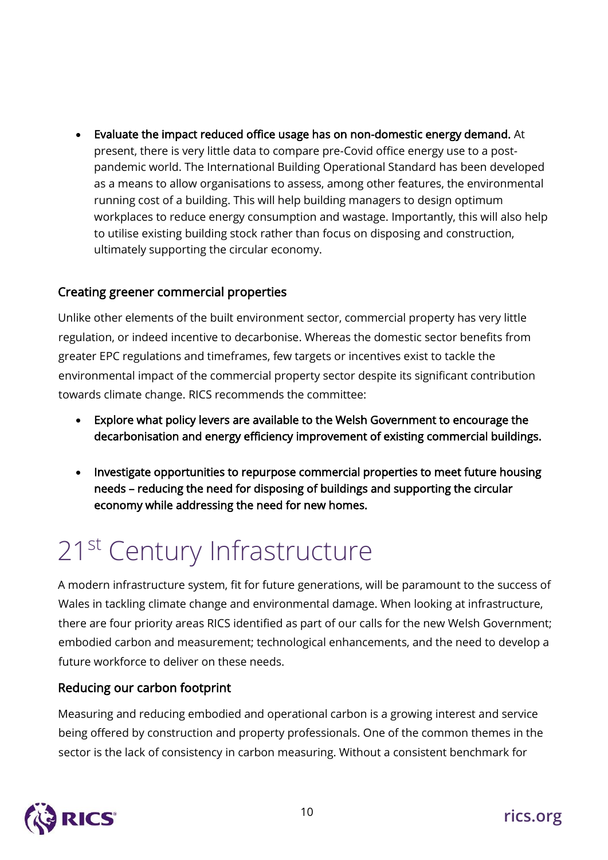• Evaluate the impact reduced office usage has on non-domestic energy demand. At present, there is very little data to compare pre-Covid office energy use to a postpandemic world. The International Building Operational Standard has been developed as a means to allow organisations to assess, among other features, the environmental running cost of a building. This will help building managers to design optimum workplaces to reduce energy consumption and wastage. Importantly, this will also help to utilise existing building stock rather than focus on disposing and construction, ultimately supporting the circular economy.

#### Creating greener commercial properties

Unlike other elements of the built environment sector, commercial property has very little regulation, or indeed incentive to decarbonise. Whereas the domestic sector benefits from greater EPC regulations and timeframes, few targets or incentives exist to tackle the environmental impact of the commercial property sector despite its significant contribution towards climate change. RICS recommends the committee:

- Explore what policy levers are available to the Welsh Government to encourage the decarbonisation and energy efficiency improvement of existing commercial buildings.
- Investigate opportunities to repurpose commercial properties to meet future housing needs – reducing the need for disposing of buildings and supporting the circular economy while addressing the need for new homes.

### 21<sup>st</sup> Century Infrastructure

A modern infrastructure system, fit for future generations, will be paramount to the success of Wales in tackling climate change and environmental damage. When looking at infrastructure, there are four priority areas RICS identified as part of our calls for the new Welsh Government; embodied carbon and measurement; technological enhancements, and the need to develop a future workforce to deliver on these needs.

#### Reducing our carbon footprint

Measuring and reducing embodied and operational carbon is a growing interest and service being offered by construction and property professionals. One of the common themes in the sector is the lack of consistency in carbon measuring. Without a consistent benchmark for

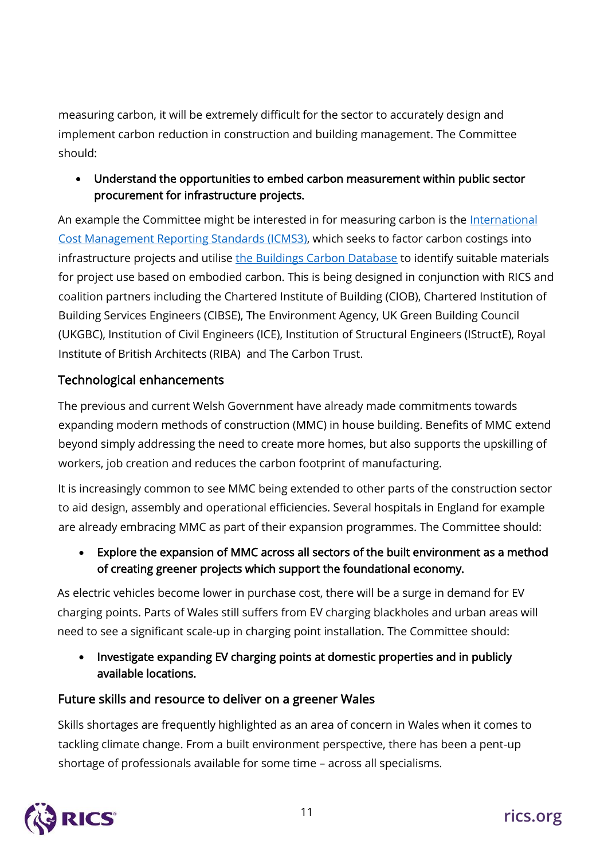measuring carbon, it will be extremely difficult for the sector to accurately design and implement carbon reduction in construction and building management. The Committee should:

#### • Understand the opportunities to embed carbon measurement within public sector procurement for infrastructure projects.

An example the Committee might be interested in for measuring carbon is the [International](https://www.rics.org/uk/news-insight/latest-news/press/press-releases/construction-groups-unite-new-carbon-reporting-rules-and-emissions-database/)  [Cost Management Reporting](https://www.rics.org/uk/news-insight/latest-news/press/press-releases/construction-groups-unite-new-carbon-reporting-rules-and-emissions-database/) Standards (ICMS3), which seeks to factor carbon costings into infrastructure projects and utilise [the Buildings Carbon Database](https://wlcarbon.rics.org/Default.aspx) to identify suitable materials for project use based on embodied carbon. This is being designed in conjunction with RICS and coalition partners including the Chartered Institute of Building (CIOB), Chartered Institution of Building Services Engineers (CIBSE), The Environment Agency, UK Green Building Council (UKGBC), Institution of Civil Engineers (ICE), Institution of Structural Engineers (IStructE), Royal Institute of British Architects (RIBA) and The Carbon Trust.

#### Technological enhancements

The previous and current Welsh Government have already made commitments towards expanding modern methods of construction (MMC) in house building. Benefits of MMC extend beyond simply addressing the need to create more homes, but also supports the upskilling of workers, job creation and reduces the carbon footprint of manufacturing.

It is increasingly common to see MMC being extended to other parts of the construction sector to aid design, assembly and operational efficiencies. Several hospitals in England for example are already embracing MMC as part of their expansion programmes. The Committee should:

• Explore the expansion of MMC across all sectors of the built environment as a method of creating greener projects which support the foundational economy.

As electric vehicles become lower in purchase cost, there will be a surge in demand for EV charging points. Parts of Wales still suffers from EV charging blackholes and urban areas will need to see a significant scale-up in charging point installation. The Committee should:

• Investigate expanding EV charging points at domestic properties and in publicly available locations.

#### Future skills and resource to deliver on a greener Wales

Skills shortages are frequently highlighted as an area of concern in Wales when it comes to tackling climate change. From a built environment perspective, there has been a pent-up shortage of professionals available for some time – across all specialisms.